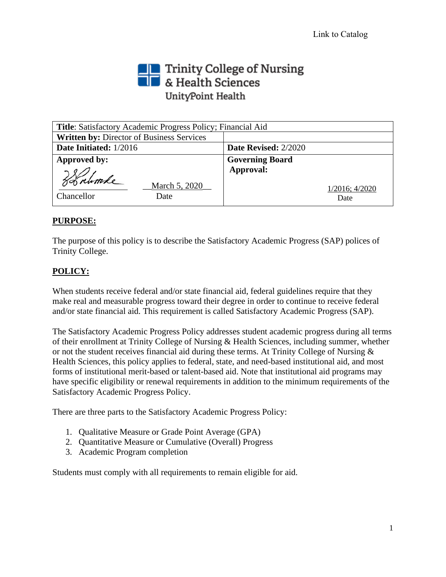# Trinity College of Nursing<br> **The State Sciences** UnityPoint Health

| Title: Satisfactory Academic Progress Policy; Financial Aid |                        |
|-------------------------------------------------------------|------------------------|
| <b>Written by: Director of Business Services</b>            |                        |
| Date Initiated: 1/2016                                      | Date Revised: 2/2020   |
| Approved by:                                                | <b>Governing Board</b> |
|                                                             | Approval:              |
| March 5, 2020                                               | $1/2016$ ; $4/2020$    |
| Chancellor<br>Date                                          | Date                   |

# **PURPOSE:**

The purpose of this policy is to describe the Satisfactory Academic Progress (SAP) polices of Trinity College.

# **POLICY:**

When students receive federal and/or state financial aid, federal guidelines require that they make real and measurable progress toward their degree in order to continue to receive federal and/or state financial aid. This requirement is called Satisfactory Academic Progress (SAP).

The Satisfactory Academic Progress Policy addresses student academic progress during all terms of their enrollment at Trinity College of Nursing & Health Sciences, including summer, whether or not the student receives financial aid during these terms. At Trinity College of Nursing & Health Sciences, this policy applies to federal, state, and need-based institutional aid, and most forms of institutional merit-based or talent-based aid. Note that institutional aid programs may have specific eligibility or renewal requirements in addition to the minimum requirements of the Satisfactory Academic Progress Policy.

There are three parts to the Satisfactory Academic Progress Policy:

- 1. Qualitative Measure or Grade Point Average (GPA)
- 2. Quantitative Measure or Cumulative (Overall) Progress
- 3. Academic Program completion

Students must comply with all requirements to remain eligible for aid.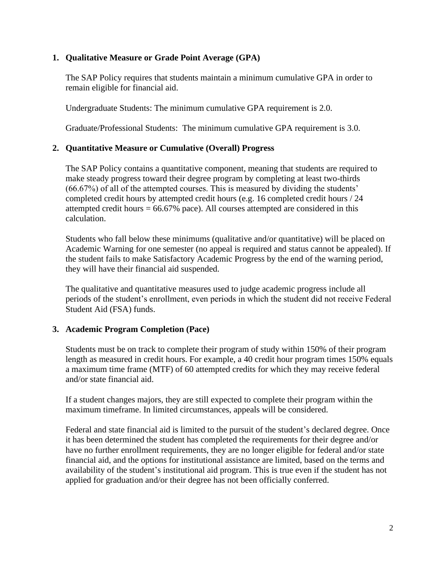# **1. Qualitative Measure or Grade Point Average (GPA)**

The SAP Policy requires that students maintain a minimum cumulative GPA in order to remain eligible for financial aid.

Undergraduate Students: The minimum cumulative GPA requirement is 2.0.

Graduate/Professional Students: The minimum cumulative GPA requirement is 3.0.

# **2. Quantitative Measure or Cumulative (Overall) Progress**

The SAP Policy contains a quantitative component, meaning that students are required to make steady progress toward their degree program by completing at least two-thirds (66.67%) of all of the attempted courses. This is measured by dividing the students' completed credit hours by attempted credit hours (e.g. 16 completed credit hours / 24 attempted credit hours  $= 66.67\%$  pace). All courses attempted are considered in this calculation.

Students who fall below these minimums (qualitative and/or quantitative) will be placed on Academic Warning for one semester (no appeal is required and status cannot be appealed). If the student fails to make Satisfactory Academic Progress by the end of the warning period, they will have their financial aid suspended.

The qualitative and quantitative measures used to judge academic progress include all periods of the student's enrollment, even periods in which the student did not receive Federal Student Aid (FSA) funds.

#### **3. Academic Program Completion (Pace)**

Students must be on track to complete their program of study within 150% of their program length as measured in credit hours. For example, a 40 credit hour program times 150% equals a maximum time frame (MTF) of 60 attempted credits for which they may receive federal and/or state financial aid.

If a student changes majors, they are still expected to complete their program within the maximum timeframe. In limited circumstances, appeals will be considered.

Federal and state financial aid is limited to the pursuit of the student's declared degree. Once it has been determined the student has completed the requirements for their degree and/or have no further enrollment requirements, they are no longer eligible for federal and/or state financial aid, and the options for institutional assistance are limited, based on the terms and availability of the student's institutional aid program. This is true even if the student has not applied for graduation and/or their degree has not been officially conferred.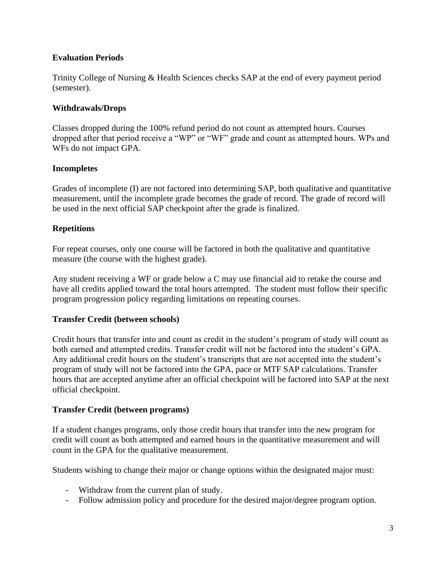# **Evaluation Periods**

Trinity College of Nursing & Health Sciences checks SAP at the end of every payment period (semester).

#### **Withdrawals/Drops**

Classes dropped during the 100% refund period do not count as attempted hours. Courses dropped after that period receive a "WP" or "WF" grade and count as attempted hours. WPs and WFs do not impact GPA.

## **Incompletes**

Grades of incomplete (I) are not factored into determining SAP, both qualitative and quantitative measurement, until the incomplete grade becomes the grade of record. The grade of record will be used in the next official SAP checkpoint after the grade is finalized.

## **Repetitions**

For repeat courses, only one course will be factored in both the qualitative and quantitative measure (the course with the highest grade).

Any student receiving a WF or grade below a C may use financial aid to retake the course and have all credits applied toward the total hours attempted. The student must follow their specific program progression policy regarding limitations on repeating courses.

#### **Transfer Credit (between schools)**

Credit hours that transfer into and count as credit in the student's program of study will count as both earned and attempted credits. Transfer credit will not be factored into the student's GPA. Any additional credit hours on the student's transcripts that are not accepted into the student's program of study will not be factored into the GPA, pace or MTF SAP calculations. Transfer hours that are accepted anytime after an official checkpoint will be factored into SAP at the next official checkpoint.

#### **Transfer Credit (between programs)**

If a student changes programs, only those credit hours that transfer into the new program for credit will count as both attempted and earned hours in the quantitative measurement and will count in the GPA for the qualitative measurement.

Students wishing to change their major or change options within the designated major must:

- Withdraw from the current plan of study.
- Follow admission policy and procedure for the desired major/degree program option.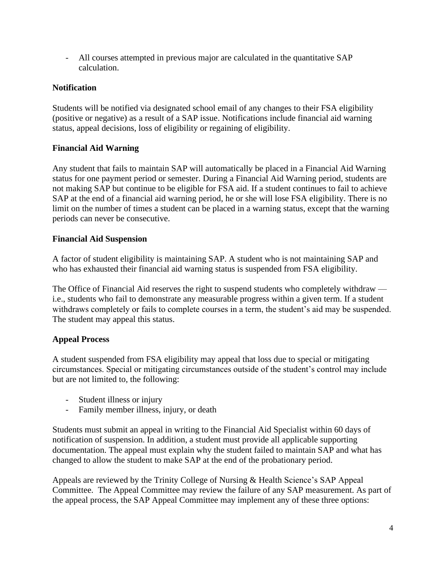- All courses attempted in previous major are calculated in the quantitative SAP calculation.

# **Notification**

Students will be notified via designated school email of any changes to their FSA eligibility (positive or negative) as a result of a SAP issue. Notifications include financial aid warning status, appeal decisions, loss of eligibility or regaining of eligibility.

# **Financial Aid Warning**

Any student that fails to maintain SAP will automatically be placed in a Financial Aid Warning status for one payment period or semester. During a Financial Aid Warning period, students are not making SAP but continue to be eligible for FSA aid. If a student continues to fail to achieve SAP at the end of a financial aid warning period, he or she will lose FSA eligibility. There is no limit on the number of times a student can be placed in a warning status, except that the warning periods can never be consecutive.

# **Financial Aid Suspension**

A factor of student eligibility is maintaining SAP. A student who is not maintaining SAP and who has exhausted their financial aid warning status is suspended from FSA eligibility.

The Office of Financial Aid reserves the right to suspend students who completely withdraw i.e., students who fail to demonstrate any measurable progress within a given term. If a student withdraws completely or fails to complete courses in a term, the student's aid may be suspended. The student may appeal this status.

# **Appeal Process**

A student suspended from FSA eligibility may appeal that loss due to special or mitigating circumstances. Special or mitigating circumstances outside of the student's control may include but are not limited to, the following:

- Student illness or injury
- Family member illness, injury, or death

Students must submit an appeal in writing to the Financial Aid Specialist within 60 days of notification of suspension. In addition, a student must provide all applicable supporting documentation. The appeal must explain why the student failed to maintain SAP and what has changed to allow the student to make SAP at the end of the probationary period.

Appeals are reviewed by the Trinity College of Nursing & Health Science's SAP Appeal Committee. The Appeal Committee may review the failure of any SAP measurement. As part of the appeal process, the SAP Appeal Committee may implement any of these three options: